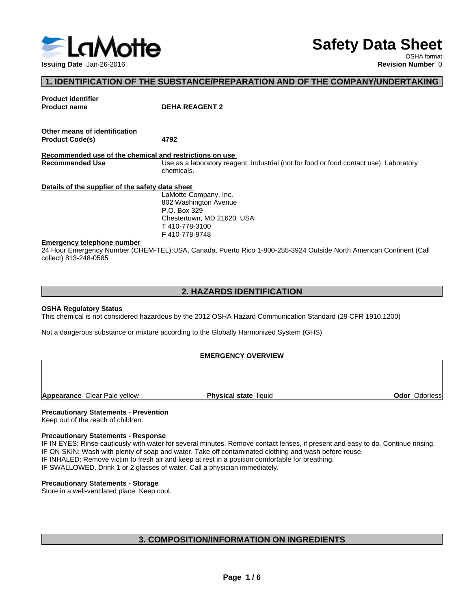

# **Safety Data Sheet**

OSHA format

#### **1. IDENTIFICATION OF THE SUBSTANCE/PREPARATION AND OF THE COMPANY/UNDERTAKING**

**Product identifier**

**Product name DEHA REAGENT 2**

| Other means of identification |      |  |
|-------------------------------|------|--|
| <b>Product Code(s)</b>        | 4792 |  |

**Recommended use of the chemical and restrictions on use Recommended Use** Use as a laboratory reagent. Industrial (not for food or food contact use). Laboratory chemicals.

**Details of the supplier of the safety data sheet**

LaMotte Company, Inc. 802 Washington Avenue P.O. Box 329 Chestertown, MD 21620 USA T 410-778-3100 F 410-778-9748

#### **Emergency telephone number**

24 Hour Emergency Number (CHEM-TEL):USA, Canada, Puerto Rico 1-800-255-3924 Outside North American Continent (Call collect) 813-248-0585

#### **2. HAZARDS IDENTIFICATION**

#### **OSHA Regulatory Status**

This chemical is not considered hazardous by the 2012 OSHA Hazard Communication Standard (29 CFR 1910.1200)

Not a dangerous substance or mixture according to the Globally Harmonized System (GHS)

#### **EMERGENCY OVERVIEW**

**Appearance** Clear Pale yellow **Physical state** liquid

**Odor** Odorless

#### **Precautionary Statements - Prevention**

Keep out of the reach of children.

#### **Precautionary Statements - Response**

IF IN EYES: Rinse cautiously with water for several minutes. Remove contact lenses, if present and easy to do. Continue rinsing. IF ON SKIN: Wash with plenty of soap and water. Take off contaminated clothing and wash before reuse. IF INHALED: Remove victim to fresh air and keep at rest in a position comfortable for breathing. IF SWALLOWED. Drink 1 or 2 glasses of water. Call a physician immediately.

#### **Precautionary Statements - Storage**

Store in a well-ventilated place. Keep cool.

#### **3. COMPOSITION/INFORMATION ON INGREDIENTS**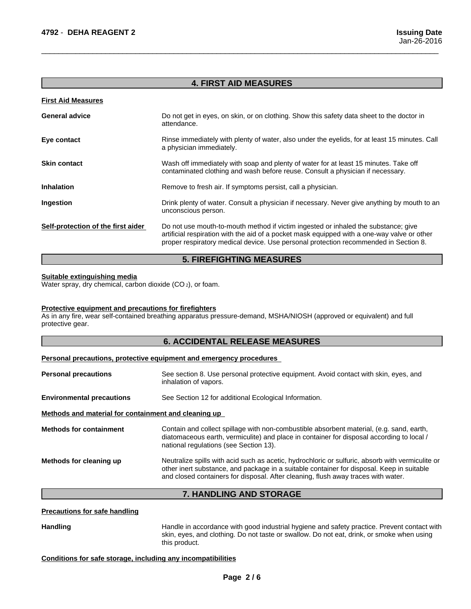#### **4. FIRST AID MEASURES**

 $\overline{\phantom{a}}$  ,  $\overline{\phantom{a}}$  ,  $\overline{\phantom{a}}$  ,  $\overline{\phantom{a}}$  ,  $\overline{\phantom{a}}$  ,  $\overline{\phantom{a}}$  ,  $\overline{\phantom{a}}$  ,  $\overline{\phantom{a}}$  ,  $\overline{\phantom{a}}$  ,  $\overline{\phantom{a}}$  ,  $\overline{\phantom{a}}$  ,  $\overline{\phantom{a}}$  ,  $\overline{\phantom{a}}$  ,  $\overline{\phantom{a}}$  ,  $\overline{\phantom{a}}$  ,  $\overline{\phantom{a}}$ 

| <b>First Aid Measures</b>          |                                                                                                                                                                                                                                                                           |
|------------------------------------|---------------------------------------------------------------------------------------------------------------------------------------------------------------------------------------------------------------------------------------------------------------------------|
| <b>General advice</b>              | Do not get in eyes, on skin, or on clothing. Show this safety data sheet to the doctor in<br>attendance.                                                                                                                                                                  |
| Eye contact                        | Rinse immediately with plenty of water, also under the eyelids, for at least 15 minutes. Call<br>a physician immediately.                                                                                                                                                 |
| <b>Skin contact</b>                | Wash off immediately with soap and plenty of water for at least 15 minutes. Take off<br>contaminated clothing and wash before reuse. Consult a physician if necessary.                                                                                                    |
| <b>Inhalation</b>                  | Remove to fresh air. If symptoms persist, call a physician.                                                                                                                                                                                                               |
| Ingestion                          | Drink plenty of water. Consult a physician if necessary. Never give anything by mouth to an<br>unconscious person.                                                                                                                                                        |
| Self-protection of the first aider | Do not use mouth-to-mouth method if victim ingested or inhaled the substance; give<br>artificial respiration with the aid of a pocket mask equipped with a one-way valve or other<br>proper respiratory medical device. Use personal protection recommended in Section 8. |

#### **5. FIREFIGHTING MEASURES**

#### **Suitable extinguishing media**

Water spray, dry chemical, carbon dioxide (CO<sub>2</sub>), or foam.

#### **Protective equipment and precautions for firefighters**

As in any fire, wear self-contained breathing apparatus pressure-demand, MSHA/NIOSH (approved or equivalent) and full protective gear.

#### **6. ACCIDENTAL RELEASE MEASURES**

#### **Personal precautions, protective equipment and emergency procedures**

| <b>Personal precautions</b>                          | See section 8. Use personal protective equipment. Avoid contact with skin, eyes, and<br>inhalation of vapors.                                                                                                                                                                      |
|------------------------------------------------------|------------------------------------------------------------------------------------------------------------------------------------------------------------------------------------------------------------------------------------------------------------------------------------|
| <b>Environmental precautions</b>                     | See Section 12 for additional Ecological Information.                                                                                                                                                                                                                              |
| Methods and material for containment and cleaning up |                                                                                                                                                                                                                                                                                    |
| <b>Methods for containment</b>                       | Contain and collect spillage with non-combustible absorbent material, (e.g. sand, earth,<br>diatomaceous earth, vermiculite) and place in container for disposal according to local /<br>national regulations (see Section 13).                                                    |
| Methods for cleaning up                              | Neutralize spills with acid such as acetic, hydrochloric or sulfuric, absorb with vermiculite or<br>other inert substance, and package in a suitable container for disposal. Keep in suitable<br>and closed containers for disposal. After cleaning, flush away traces with water. |
|                                                      |                                                                                                                                                                                                                                                                                    |

#### **7. HANDLING AND STORAGE**

#### **Precautions for safe handling**

Handling **Handle in accordance with good industrial hygiene and safety practice. Prevent contact with** skin, eyes, and clothing. Do not taste or swallow.Do not eat, drink, or smoke when using this product.

#### **Conditions for safe storage, including any incompatibilities**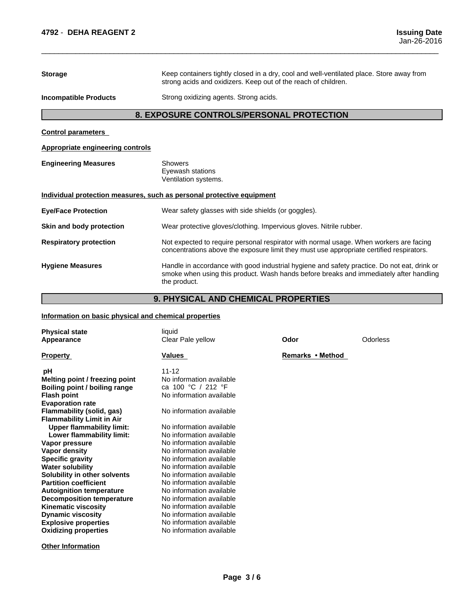**Storage** Keep containers tightly closed in a dry, cool and well-ventilated place. Store away from strong acids and oxidizers. Keep out of the reach of children.

 $\overline{\phantom{a}}$  ,  $\overline{\phantom{a}}$  ,  $\overline{\phantom{a}}$  ,  $\overline{\phantom{a}}$  ,  $\overline{\phantom{a}}$  ,  $\overline{\phantom{a}}$  ,  $\overline{\phantom{a}}$  ,  $\overline{\phantom{a}}$  ,  $\overline{\phantom{a}}$  ,  $\overline{\phantom{a}}$  ,  $\overline{\phantom{a}}$  ,  $\overline{\phantom{a}}$  ,  $\overline{\phantom{a}}$  ,  $\overline{\phantom{a}}$  ,  $\overline{\phantom{a}}$  ,  $\overline{\phantom{a}}$ 

**Incompatible Products** Strong oxidizing agents. Strong acids.

#### **8. EXPOSURE CONTROLS/PERSONAL PROTECTION**

**Control parameters**

**Appropriate engineering controls**

**Engineering Measures** Showers Eyewash stations

Ventilation systems.

#### **Individual protection measures, such as personal protective equipment**

| Wear safety glasses with side shields (or goggles).                                                                                                                                                   |
|-------------------------------------------------------------------------------------------------------------------------------------------------------------------------------------------------------|
| Wear protective gloves/clothing. Impervious gloves. Nitrile rubber.                                                                                                                                   |
| Not expected to require personal respirator with normal usage. When workers are facing<br>concentrations above the exposure limit they must use appropriate certified respirators.                    |
| Handle in accordance with good industrial hygiene and safety practice. Do not eat, drink or<br>smoke when using this product. Wash hands before breaks and immediately after handling<br>the product. |
|                                                                                                                                                                                                       |

#### **9. PHYSICAL AND CHEMICAL PROPERTIES**

#### **Information on basic physical and chemical properties**

| <b>Physical state</b><br>Appearance                                                                                                                                                                                                                                                                                                                                                                                                                                                                                                                                                      | liquid<br>Clear Pale yellow                                                                                                                                                                                                                                                                                                                                                                                                                                                                     | Odor             | Odorless |
|------------------------------------------------------------------------------------------------------------------------------------------------------------------------------------------------------------------------------------------------------------------------------------------------------------------------------------------------------------------------------------------------------------------------------------------------------------------------------------------------------------------------------------------------------------------------------------------|-------------------------------------------------------------------------------------------------------------------------------------------------------------------------------------------------------------------------------------------------------------------------------------------------------------------------------------------------------------------------------------------------------------------------------------------------------------------------------------------------|------------------|----------|
| <b>Property</b>                                                                                                                                                                                                                                                                                                                                                                                                                                                                                                                                                                          | Values                                                                                                                                                                                                                                                                                                                                                                                                                                                                                          | Remarks • Method |          |
| рH<br>Melting point / freezing point<br>Boiling point / boiling range<br><b>Flash point</b><br><b>Evaporation rate</b><br>Flammability (solid, gas)<br><b>Flammability Limit in Air</b><br><b>Upper flammability limit:</b><br>Lower flammability limit:<br>Vapor pressure<br><b>Vapor density</b><br><b>Specific gravity</b><br><b>Water solubility</b><br>Solubility in other solvents<br><b>Partition coefficient</b><br><b>Autoignition temperature</b><br><b>Decomposition temperature</b><br><b>Kinematic viscosity</b><br><b>Dynamic viscosity</b><br><b>Explosive properties</b> | $11 - 12$<br>No information available<br>ca 100 °C / 212 °F<br>No information available<br>No information available<br>No information available<br>No information available<br>No information available<br>No information available<br>No information available<br>No information available<br>No information available<br>No information available<br>No information available<br>No information available<br>No information available<br>No information available<br>No information available |                  |          |
| <b>Oxidizing properties</b>                                                                                                                                                                                                                                                                                                                                                                                                                                                                                                                                                              | No information available                                                                                                                                                                                                                                                                                                                                                                                                                                                                        |                  |          |

**Other Information**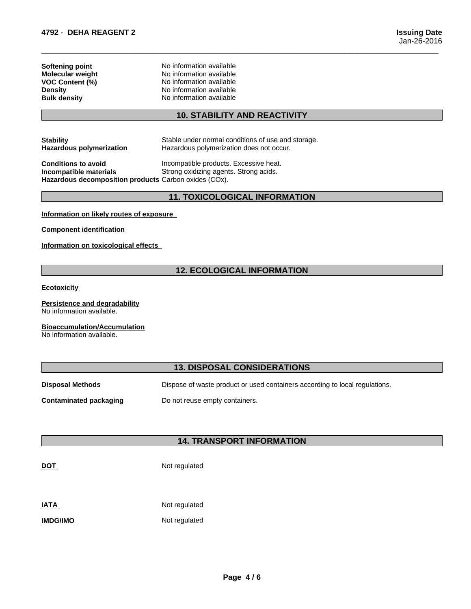| Softening point         |
|-------------------------|
| <b>Molecular weight</b> |
| <b>VOC Content (%)</b>  |
| <b>Density</b>          |
| <b>Bulk density</b>     |

**No information available Molecular weight** No information available **VOC Content (%)** No information available **No information available No information available** 

#### **10. STABILITY AND REACTIVITY**

 $\overline{\phantom{a}}$  ,  $\overline{\phantom{a}}$  ,  $\overline{\phantom{a}}$  ,  $\overline{\phantom{a}}$  ,  $\overline{\phantom{a}}$  ,  $\overline{\phantom{a}}$  ,  $\overline{\phantom{a}}$  ,  $\overline{\phantom{a}}$  ,  $\overline{\phantom{a}}$  ,  $\overline{\phantom{a}}$  ,  $\overline{\phantom{a}}$  ,  $\overline{\phantom{a}}$  ,  $\overline{\phantom{a}}$  ,  $\overline{\phantom{a}}$  ,  $\overline{\phantom{a}}$  ,  $\overline{\phantom{a}}$ 

**Stability** Stable under normal conditions of use and storage. **Hazardous polymerization** Hazardous polymerization does not occur.

**Conditions to avoid Incompatible products. Excessive heat. Incompatible materials** Strong oxidizing agents. Strong acids. **Hazardous decomposition products** Carbon oxides (COx).

#### **11. TOXICOLOGICAL INFORMATION**

**Information on likely routes of exposure**

**Component identification**

**Information on toxicological effects**

#### **12. ECOLOGICAL INFORMATION**

**Ecotoxicity** 

**Persistence and degradability** No information available.

**Bioaccumulation/Accumulation**

No information available.

#### **13. DISPOSAL CONSIDERATIONS**

**Disposal Methods** Dispose of waste product or used containers according to local regulations.

**Contaminated packaging** Do not reuse empty containers.

### **14. TRANSPORT INFORMATION**

**DOT** Not regulated

**IATA** Not regulated

**IMDG/IMO** Not regulated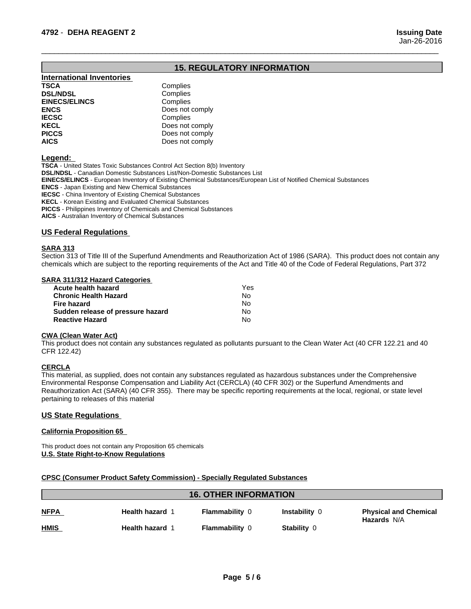### **15. REGULATORY INFORMATION**

 $\overline{\phantom{a}}$  ,  $\overline{\phantom{a}}$  ,  $\overline{\phantom{a}}$  ,  $\overline{\phantom{a}}$  ,  $\overline{\phantom{a}}$  ,  $\overline{\phantom{a}}$  ,  $\overline{\phantom{a}}$  ,  $\overline{\phantom{a}}$  ,  $\overline{\phantom{a}}$  ,  $\overline{\phantom{a}}$  ,  $\overline{\phantom{a}}$  ,  $\overline{\phantom{a}}$  ,  $\overline{\phantom{a}}$  ,  $\overline{\phantom{a}}$  ,  $\overline{\phantom{a}}$  ,  $\overline{\phantom{a}}$ 

| <b>International Inventories</b> |                 |
|----------------------------------|-----------------|
| <b>TSCA</b>                      | Complies        |
| <b>DSL/NDSL</b>                  | Complies        |
| <b>EINECS/ELINCS</b>             | Complies        |
| <b>ENCS</b>                      | Does not comply |
| <b>IECSC</b>                     | Complies        |
| <b>KECL</b>                      | Does not comply |
| <b>PICCS</b>                     | Does not comply |
| <b>AICS</b>                      | Does not comply |

**Legend:** 

**TSCA** - United States Toxic Substances Control Act Section 8(b) Inventory **DSL/NDSL** - Canadian Domestic Substances List/Non-Domestic Substances List **EINECS/ELINCS** - European Inventory of Existing Chemical Substances/European List of Notified Chemical Substances **ENCS** - Japan Existing and New Chemical Substances **IECSC** - China Inventory of Existing Chemical Substances **KECL** - Korean Existing and Evaluated Chemical Substances **PICCS** - Philippines Inventory of Chemicals and Chemical Substances

**AICS** - Australian Inventory of Chemical Substances

#### **US Federal Regulations**

#### **SARA 313**

Section 313 of Title III of the Superfund Amendments and Reauthorization Act of 1986 (SARA). This product does not contain any chemicals which are subject to the reporting requirements of the Act and Title 40 of the Code of Federal Regulations, Part 372

#### **SARA 311/312 Hazard Categories**

| Acute health hazard               | Yes |  |
|-----------------------------------|-----|--|
| <b>Chronic Health Hazard</b>      | N٥  |  |
| Fire hazard                       | N٥  |  |
| Sudden release of pressure hazard | N٥  |  |
| <b>Reactive Hazard</b>            | No  |  |

#### **CWA (Clean WaterAct)**

This product does not contain any substances regulated as pollutants pursuant to the Clean Water Act (40 CFR 122.21 and 40 CFR 122.42)

#### **CERCLA**

This material, as supplied, does not contain any substances regulated as hazardous substances under the Comprehensive Environmental Response Compensation and Liability Act (CERCLA) (40 CFR 302) or the Superfund Amendments and Reauthorization Act (SARA) (40 CFR 355). There may be specific reporting requirements at the local, regional, or state level pertaining to releases of this material

#### **US State Regulations**

#### **California Proposition 65**

This product does not contain any Proposition 65 chemicals **U.S. State Right-to-Know Regulations**

#### **CPSC (Consumer Product Safety Commission) - Specially Regulated Substances**

| <b>16. OTHER INFORMATION</b> |                        |                       |               |                                                    |
|------------------------------|------------------------|-----------------------|---------------|----------------------------------------------------|
| <b>NFPA</b>                  | <b>Health hazard 1</b> | <b>Flammability 0</b> | Instability 0 | <b>Physical and Chemical</b><br><b>Hazards N/A</b> |
| <u>HMIS</u>                  | <b>Health hazard 1</b> | <b>Flammability 0</b> | Stability 0   |                                                    |